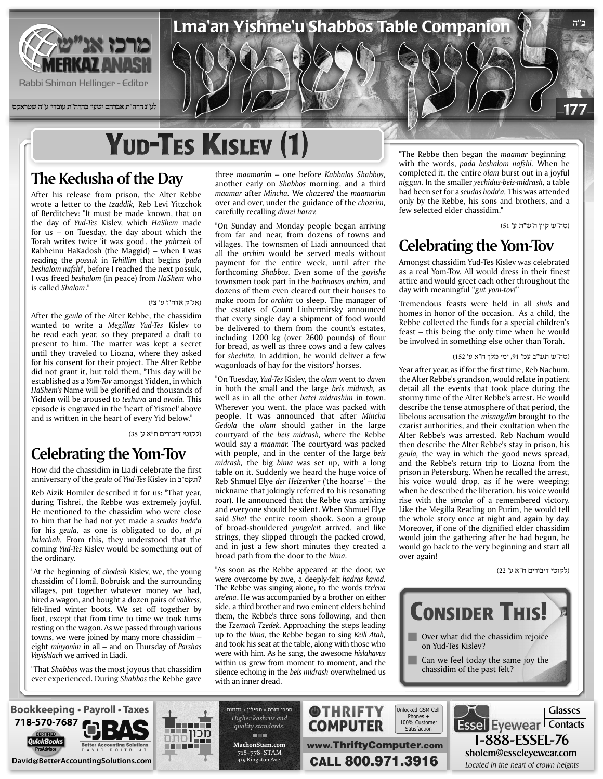

**לע"נ הרה"ת אברהם ישעי' בהרה"ת עובדי' ע"ה שטראקס**

# **YUD-TES KISLEV (1)**

#### **The Kedusha of the Day**

After his release from prison, the Alter Rebbe wrote a letter to the *tzaddik*, Reb Levi Yitzchok of Berditchev: "It must be made known, that on the day of Yud-Tes Kislev, which HaShem made for us  $-$  on Tuesday, the day about which the Torah writes twice 'it was good', the *yahrzeit* of Rabbeinu HaKadosh (the Maggid) – when I was *reading the possuk in Tehillim* that begins 'pada beshalom nafshi<sup>1</sup>, before I reached the next possuk, *I* was freed *beshalom* (in peace) from *HaShem* who is called Shalom."

#### (אג"ק אדה"ז ע' צז)

After the *geula* of the Alter Rebbe, the chassidim wanted to write a Megillas Yud-Tes Kislev to be read each year, so they prepared a draft to present to him. The matter was kept a secret until they traveled to Liozna, where they asked for his consent for their project. The Alter Rebbe did not grant it, but told them, "This day will be established as a *Yom-Tov* amongst Yidden, in which HaShem's Name will be glorified and thousands of Yidden will be aroused to *teshuva* and *avoda*. This episode is engraved in the 'heart of Yisroel' above and is written in the heart of every Yid below."

(לקוטי דיבורים ח"א ע' 38)

#### **Celebrating the Yom-Tov**

How did the chassidim in Liadi celebrate the first ?תקס"ב in Kislev *Tes-Yud* of *geula* the of anniversary

Reb Aizik Homiler described it for us: "That year, during Tishrei, the Rebbe was extremely joyful. He mentioned to the chassidim who were close to him that he had not yet made a seudas hoda'a for his *geula*, as one is obligated to do, al pi halachah. From this, they understood that the coming Yud-Tes Kislev would be something out of the ordinary.

"At the beginning of *chodesh* Kislev, we, the young chassidim of Homil, Bobruisk and the surrounding villages, put together whatever money we had, hired a wagon, and bought a dozen pairs of *volikess*, felt-lined winter boots. We set off together by foot, except that from time to time we took turns resting on the wagon. As we passed through various towns, we were joined by many more chassidim  $$ *eight minyonim* in all – and on Thursday of *Parshas Vayishlach* we arrived in Liadi.

"That Shabbos was the most joyous that chassidim ever experienced. During Shabbos the Rebbe gave three *maamarim* – one before Kabbalas Shabbos, another early on Shabbos morning, and a third *maamar* after *Mincha*. We *chazered* the *maamarim over and over, under the guidance of the chozrim,* carefully recalling divrei harav.

Lma'an Yishme'u Shabbos Table Companion

"On Sunday and Monday people began arriving from far and near, from dozens of towns and villages. The townsmen of Liadi announced that all the *orchim* would be served meals without payment for the entire week, until after the forthcoming *Shabbos*. Even some of the goyishe townsmen took part in the *hachnasas* orchim, and dozens of them even cleared out their houses to make room for *orchim* to sleep. The manager of the estates of Count Liubermirsky announced that every single day a shipment of food would be delivered to them from the count's estates, including 1200 kg (over 2600 pounds) of flour for bread, as well as three cows and a few calves for *shechita*. In addition, he would deliver a few wagonloads of hay for the visitors' horses.

"On Tuesday, *Yud-Tes Kislev*, the *olam* went to *daven* in both the small and the large beis midrash, as well as in all the other *batei midrashim* in town. Wherever you went, the place was packed with people. It was announced that after Mincha Gedola the olam should gather in the large courtyard of the *beis midrash*, where the Rebbe would say a *maamar*. The courtyard was packed with people, and in the center of the large beis midrash, the big bima was set up, with a long table on it. Suddenly we heard the huge voice of Reb Shmuel Elye der Heizeriker ('the hoarse' - the nickname that jokingly referred to his resonating roar). He announced that the Rebbe was arriving and everyone should be silent. When Shmuel Elye said *Sha!* the entire room shook. Soon a group of broad-shouldered *yungeleit* arrived, and like strings, they slipped through the packed crowd, and in just a few short minutes they created a broad path from the door to the *bima*.

"As soon as the Rebbe appeared at the door, we were overcome by awe, a deeply-felt hadras kavod. The Rebbe was singing alone, to the words tze'ena ure'ena. He was accompanied by a brother on either side, a third brother and two eminent elders behind them, the Rebbe's three sons following, and then the *Tzemach Tzedek*. Approaching the steps leading up to the *bima*, the Rebbe began to sing *Keili Atah*, and took his seat at the table, along with those who were with him. As he sang, the awesome *hislahavus* within us grew from moment to moment, and the silence echoing in the beis midrash overwhelmed us with an inner dread.

"The Rebbe then began the *maamar* beginning with the words, *pada beshalom nafshi*. When he completed it, the entire *olam* burst out in a joyful niggun. In the smaller *yechidus-beis-midrash*, a table had been set for a *seudas hoda'a*. This was attended only by the Rebbe, his sons and brothers, and a few selected elder chassidim."

(סה"ש קיץ ה'ש"ת ע' 51)

**ב"ה**

177

#### **Celebrating the Yom-Tov**

Amongst chassidim Yud-Tes Kislev was celebrated as a real Yom-Tov. All would dress in their finest attire and would greet each other throughout the day with meaningful "gut yom-tov!"

Tremendous feasts were held in all shuls and homes in honor of the occasion. As a child, the Rebbe collected the funds for a special children's  $feast - this being the only time when he would$ be involved in something else other than Torah.

#### (סה"ש תש"ב עמ' ,91 ימי מלך ח"א ע' 152)

Year after year, as if for the first time, Reb Nachum, the Alter Rebbe's grandson, would relate in patient detail all the events that took place during the stormy time of the Alter Rebbe's arrest. He would describe the tense atmosphere of that period, the libelous accusation the *misnagdim* brought to the czarist authorities, and their exultation when the Alter Rebbe's was arrested. Reb Nachum would then describe the Alter Rebbe's stay in prison, his geula, the way in which the good news spread, and the Rebbe's return trip to Liozna from the prison in Petersburg. When he recalled the arrest, his voice would drop, as if he were weeping; when he described the liberation, his voice would rise with the *simcha* of a remembered victory. Like the Megilla Reading on Purim, he would tell the whole story once at night and again by day. Moreover, if one of the dignified elder chassidim would join the gathering after he had begun, he would go back to the very beginning and start all over again!

(לקוטי דיבורים ח"א ע' 22)